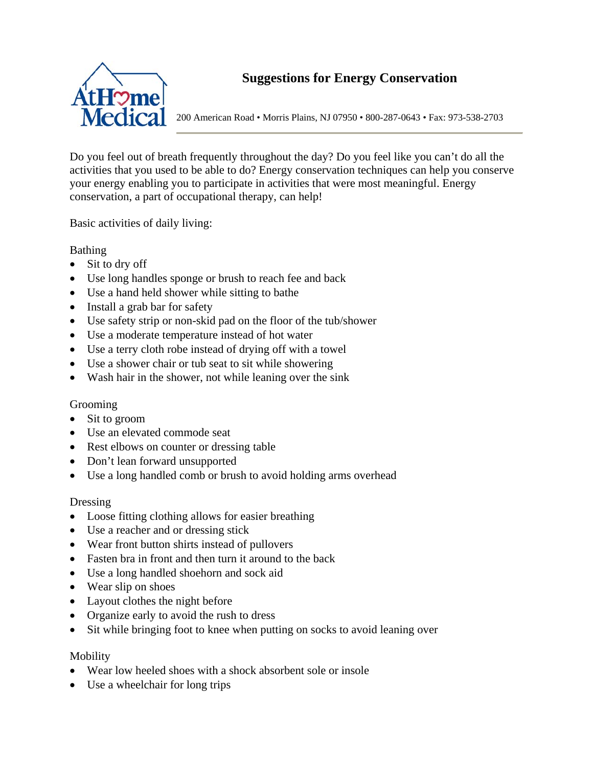

200 American Road • Morris Plains, NJ 07950 • 800-287-0643 • Fax: 973-538-2703

Do you feel out of breath frequently throughout the day? Do you feel like you can't do all the activities that you used to be able to do? Energy conservation techniques can help you conserve your energy enabling you to participate in activities that were most meaningful. Energy conservation, a part of occupational therapy, can help!

Basic activities of daily living:

Bathing

- Sit to dry off
- Use long handles sponge or brush to reach fee and back
- Use a hand held shower while sitting to bathe
- Install a grab bar for safety
- Use safety strip or non-skid pad on the floor of the tub/shower
- Use a moderate temperature instead of hot water
- Use a terry cloth robe instead of drying off with a towel
- Use a shower chair or tub seat to sit while showering
- Wash hair in the shower, not while leaning over the sink

# Grooming

- Sit to groom
- Use an elevated commode seat
- Rest elbows on counter or dressing table
- Don't lean forward unsupported
- Use a long handled comb or brush to avoid holding arms overhead

# Dressing

- Loose fitting clothing allows for easier breathing
- Use a reacher and or dressing stick
- Wear front button shirts instead of pullovers
- Fasten bra in front and then turn it around to the back
- Use a long handled shoehorn and sock aid
- Wear slip on shoes
- Layout clothes the night before
- Organize early to avoid the rush to dress
- Sit while bringing foot to knee when putting on socks to avoid leaning over

# Mobility

- Wear low heeled shoes with a shock absorbent sole or insole
- Use a wheelchair for long trips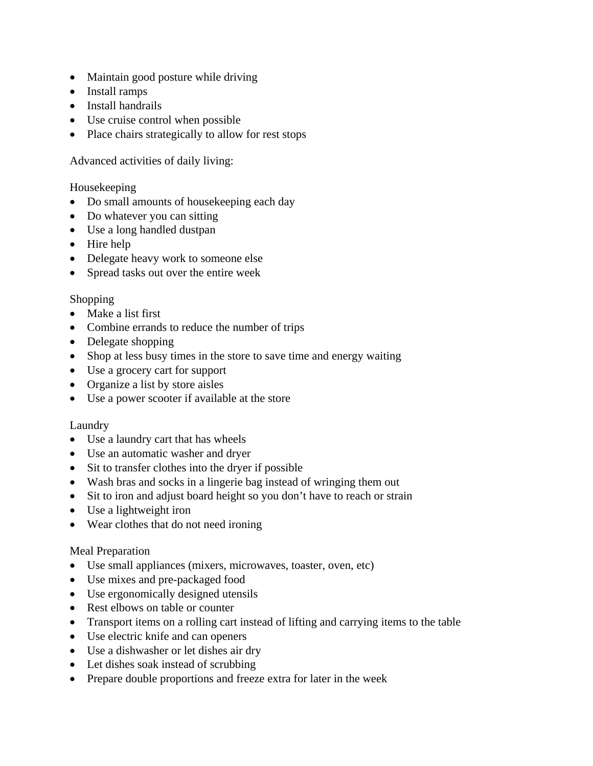- Maintain good posture while driving
- Install ramps
- Install handrails
- Use cruise control when possible
- Place chairs strategically to allow for rest stops

# Advanced activities of daily living:

## Housekeeping

- Do small amounts of housekeeping each day
- Do whatever you can sitting
- Use a long handled dustpan
- Hire help
- Delegate heavy work to someone else
- Spread tasks out over the entire week

# Shopping

- Make a list first
- Combine errands to reduce the number of trips
- Delegate shopping
- Shop at less busy times in the store to save time and energy waiting
- Use a grocery cart for support
- Organize a list by store aisles
- Use a power scooter if available at the store

# Laundry

- Use a laundry cart that has wheels
- Use an automatic washer and dryer
- Sit to transfer clothes into the dryer if possible
- Wash bras and socks in a lingerie bag instead of wringing them out
- Sit to iron and adjust board height so you don't have to reach or strain
- Use a lightweight iron
- Wear clothes that do not need ironing

# Meal Preparation

- Use small appliances (mixers, microwaves, toaster, oven, etc)
- Use mixes and pre-packaged food
- Use ergonomically designed utensils
- Rest elbows on table or counter
- Transport items on a rolling cart instead of lifting and carrying items to the table
- Use electric knife and can openers
- Use a dishwasher or let dishes air dry
- Let dishes soak instead of scrubbing
- Prepare double proportions and freeze extra for later in the week